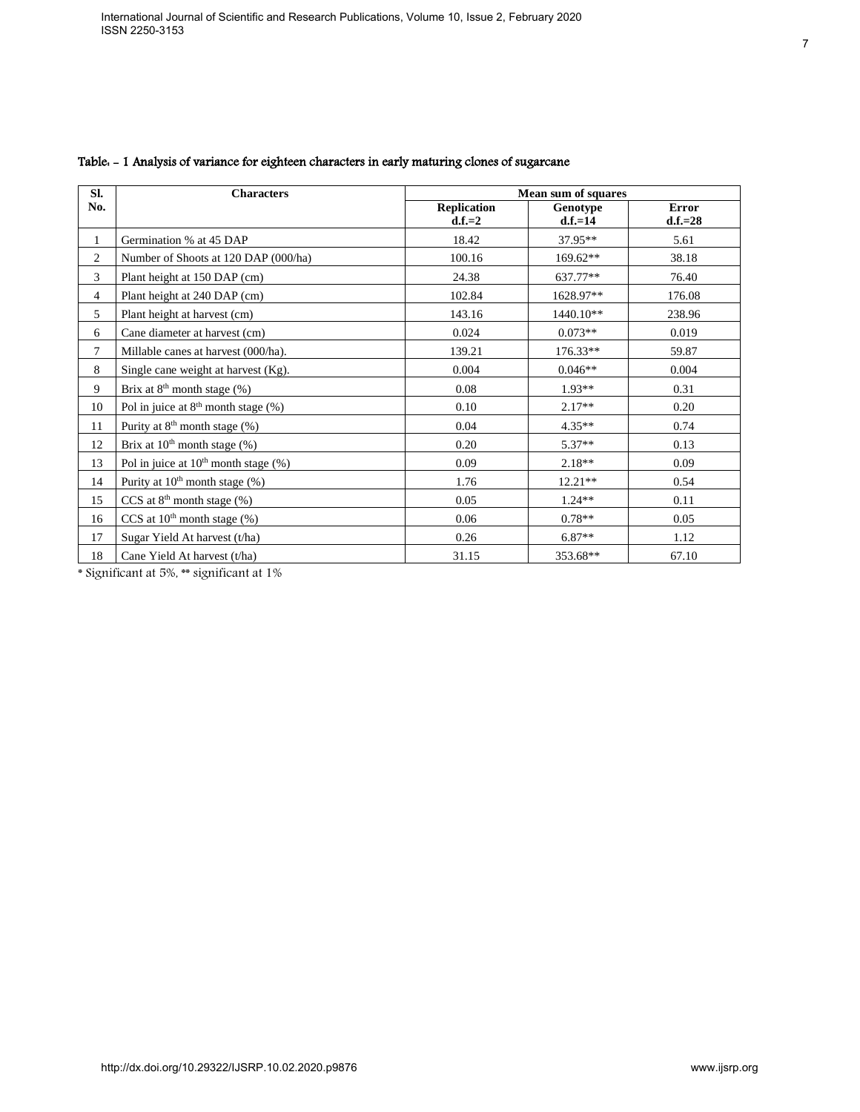| SI.<br><b>Replication</b><br>No.<br><b>Error</b><br>Genotype<br>$d.f.=2$<br>$d.f.=14$<br>$d.f.=28$<br>Germination % at 45 DAP<br>18.42<br>37.95**<br>$\mathbf{1}$<br>5.61<br>$\overline{c}$<br>169.62**<br>Number of Shoots at 120 DAP (000/ha)<br>100.16<br>38.18<br>3<br>637.77**<br>76.40<br>Plant height at 150 DAP (cm)<br>24.38<br>$\overline{4}$<br>1628.97**<br>Plant height at 240 DAP (cm)<br>102.84<br>176.08<br>5<br>Plant height at harvest (cm)<br>143.16<br>1440.10**<br>238.96<br>0.024<br>$0.073**$<br>0.019<br>6<br>Cane diameter at harvest (cm)<br>$\overline{7}$<br>176.33**<br>Millable canes at harvest (000/ha).<br>139.21<br>59.87<br>$\,8\,$<br>Single cane weight at harvest (Kg).<br>0.004<br>$0.046**$<br>0.004<br>Brix at 8 <sup>th</sup> month stage (%)<br>9<br>$0.08\,$<br>$1.93**$<br>0.31<br>Pol in juice at $8th$ month stage (%)<br>$2.17**$<br>10<br>0.10<br>0.20<br>Purity at 8 <sup>th</sup> month stage (%)<br>$4.35**$<br>11<br>0.04<br>0.74<br>Brix at 10 <sup>th</sup> month stage (%)<br>$5.37**$<br>12<br>$0.20\,$<br>0.13<br>Pol in juice at 10 <sup>th</sup> month stage (%)<br>0.09<br>13<br>$2.18**$<br>0.09<br>Purity at 10 <sup>th</sup> month stage (%)<br>14<br>1.76<br>$12.21**$<br>0.54<br>CCS at 8 <sup>th</sup> month stage (%)<br>15<br>0.05<br>$1.24**$<br>0.11<br>CCS at $10^{th}$ month stage $(\%)$<br>16<br>0.06<br>$0.78**$<br>0.05<br>$6.87**$<br>17<br>Sugar Yield At harvest (t/ha)<br>0.26<br>1.12<br>18<br>Cane Yield At harvest (t/ha)<br>31.15<br>353.68**<br>67.10<br>* Significant at 5%, ** significant at 1% | <b>Characters</b> | Mean sum of squares |  |
|------------------------------------------------------------------------------------------------------------------------------------------------------------------------------------------------------------------------------------------------------------------------------------------------------------------------------------------------------------------------------------------------------------------------------------------------------------------------------------------------------------------------------------------------------------------------------------------------------------------------------------------------------------------------------------------------------------------------------------------------------------------------------------------------------------------------------------------------------------------------------------------------------------------------------------------------------------------------------------------------------------------------------------------------------------------------------------------------------------------------------------------------------------------------------------------------------------------------------------------------------------------------------------------------------------------------------------------------------------------------------------------------------------------------------------------------------------------------------------------------------------------------------------------------------------------------------------------|-------------------|---------------------|--|
|                                                                                                                                                                                                                                                                                                                                                                                                                                                                                                                                                                                                                                                                                                                                                                                                                                                                                                                                                                                                                                                                                                                                                                                                                                                                                                                                                                                                                                                                                                                                                                                          |                   |                     |  |
|                                                                                                                                                                                                                                                                                                                                                                                                                                                                                                                                                                                                                                                                                                                                                                                                                                                                                                                                                                                                                                                                                                                                                                                                                                                                                                                                                                                                                                                                                                                                                                                          |                   |                     |  |
|                                                                                                                                                                                                                                                                                                                                                                                                                                                                                                                                                                                                                                                                                                                                                                                                                                                                                                                                                                                                                                                                                                                                                                                                                                                                                                                                                                                                                                                                                                                                                                                          |                   |                     |  |
|                                                                                                                                                                                                                                                                                                                                                                                                                                                                                                                                                                                                                                                                                                                                                                                                                                                                                                                                                                                                                                                                                                                                                                                                                                                                                                                                                                                                                                                                                                                                                                                          |                   |                     |  |
|                                                                                                                                                                                                                                                                                                                                                                                                                                                                                                                                                                                                                                                                                                                                                                                                                                                                                                                                                                                                                                                                                                                                                                                                                                                                                                                                                                                                                                                                                                                                                                                          |                   |                     |  |
|                                                                                                                                                                                                                                                                                                                                                                                                                                                                                                                                                                                                                                                                                                                                                                                                                                                                                                                                                                                                                                                                                                                                                                                                                                                                                                                                                                                                                                                                                                                                                                                          |                   |                     |  |
|                                                                                                                                                                                                                                                                                                                                                                                                                                                                                                                                                                                                                                                                                                                                                                                                                                                                                                                                                                                                                                                                                                                                                                                                                                                                                                                                                                                                                                                                                                                                                                                          |                   |                     |  |
|                                                                                                                                                                                                                                                                                                                                                                                                                                                                                                                                                                                                                                                                                                                                                                                                                                                                                                                                                                                                                                                                                                                                                                                                                                                                                                                                                                                                                                                                                                                                                                                          |                   |                     |  |
|                                                                                                                                                                                                                                                                                                                                                                                                                                                                                                                                                                                                                                                                                                                                                                                                                                                                                                                                                                                                                                                                                                                                                                                                                                                                                                                                                                                                                                                                                                                                                                                          |                   |                     |  |
|                                                                                                                                                                                                                                                                                                                                                                                                                                                                                                                                                                                                                                                                                                                                                                                                                                                                                                                                                                                                                                                                                                                                                                                                                                                                                                                                                                                                                                                                                                                                                                                          |                   |                     |  |
|                                                                                                                                                                                                                                                                                                                                                                                                                                                                                                                                                                                                                                                                                                                                                                                                                                                                                                                                                                                                                                                                                                                                                                                                                                                                                                                                                                                                                                                                                                                                                                                          |                   |                     |  |
|                                                                                                                                                                                                                                                                                                                                                                                                                                                                                                                                                                                                                                                                                                                                                                                                                                                                                                                                                                                                                                                                                                                                                                                                                                                                                                                                                                                                                                                                                                                                                                                          |                   |                     |  |
|                                                                                                                                                                                                                                                                                                                                                                                                                                                                                                                                                                                                                                                                                                                                                                                                                                                                                                                                                                                                                                                                                                                                                                                                                                                                                                                                                                                                                                                                                                                                                                                          |                   |                     |  |
|                                                                                                                                                                                                                                                                                                                                                                                                                                                                                                                                                                                                                                                                                                                                                                                                                                                                                                                                                                                                                                                                                                                                                                                                                                                                                                                                                                                                                                                                                                                                                                                          |                   |                     |  |
|                                                                                                                                                                                                                                                                                                                                                                                                                                                                                                                                                                                                                                                                                                                                                                                                                                                                                                                                                                                                                                                                                                                                                                                                                                                                                                                                                                                                                                                                                                                                                                                          |                   |                     |  |
|                                                                                                                                                                                                                                                                                                                                                                                                                                                                                                                                                                                                                                                                                                                                                                                                                                                                                                                                                                                                                                                                                                                                                                                                                                                                                                                                                                                                                                                                                                                                                                                          |                   |                     |  |
|                                                                                                                                                                                                                                                                                                                                                                                                                                                                                                                                                                                                                                                                                                                                                                                                                                                                                                                                                                                                                                                                                                                                                                                                                                                                                                                                                                                                                                                                                                                                                                                          |                   |                     |  |
|                                                                                                                                                                                                                                                                                                                                                                                                                                                                                                                                                                                                                                                                                                                                                                                                                                                                                                                                                                                                                                                                                                                                                                                                                                                                                                                                                                                                                                                                                                                                                                                          |                   |                     |  |
|                                                                                                                                                                                                                                                                                                                                                                                                                                                                                                                                                                                                                                                                                                                                                                                                                                                                                                                                                                                                                                                                                                                                                                                                                                                                                                                                                                                                                                                                                                                                                                                          |                   |                     |  |

#### Table: - 1 Analysis of variance for eighteen characters in early maturing clones of sugarcane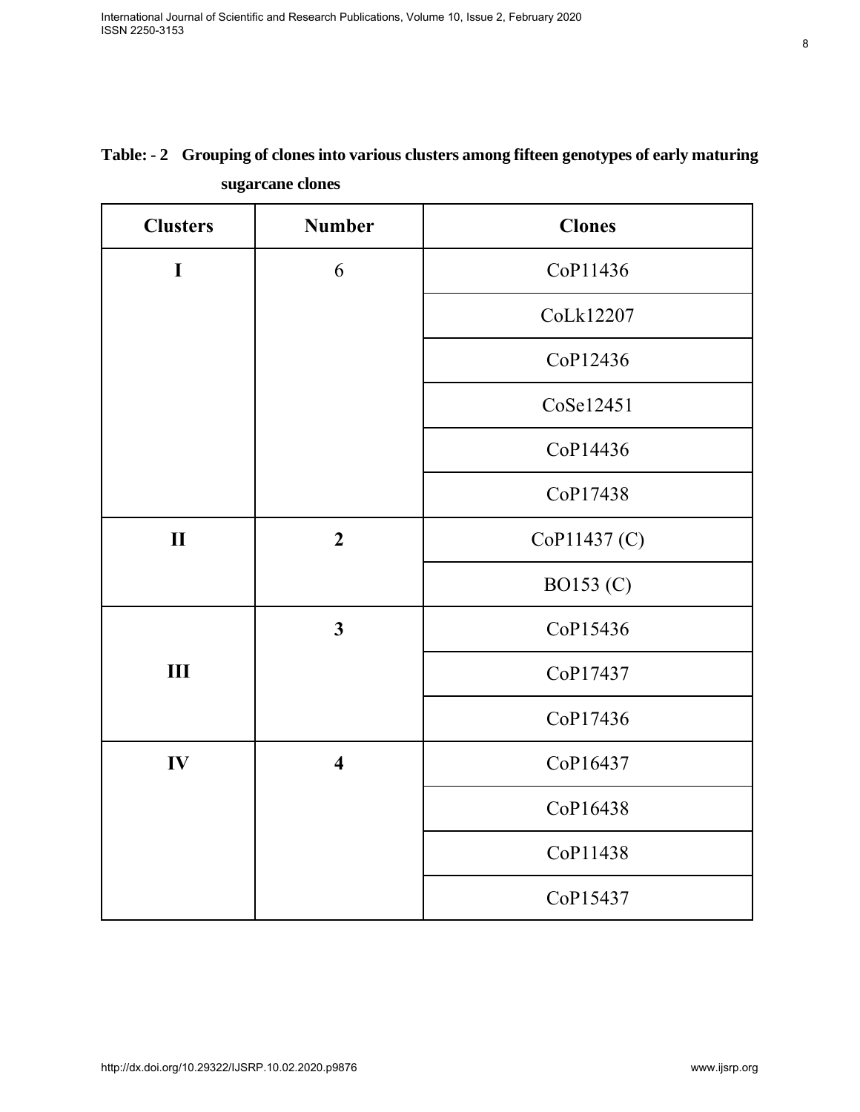| <b>Clusters</b> | <b>Number</b>           |               |  |
|-----------------|-------------------------|---------------|--|
|                 |                         | <b>Clones</b> |  |
| $\mathbf I$     | 6                       | CoP11436      |  |
|                 |                         | CoLk12207     |  |
|                 |                         | CoP12436      |  |
|                 |                         | CoSe12451     |  |
|                 |                         | CoP14436      |  |
|                 |                         | CoP17438      |  |
| $\mathbf{I}$    | $\overline{2}$          | CoP11437 (C)  |  |
|                 |                         | BO153 (C)     |  |
|                 | $\mathbf{3}$            | CoP15436      |  |
| III             |                         | CoP17437      |  |
|                 |                         | CoP17436      |  |
| IV              | $\overline{\mathbf{4}}$ | CoP16437      |  |
|                 |                         | CoP16438      |  |
|                 |                         | CoP11438      |  |
|                 |                         | CoP15437      |  |

# **Table: - 2 Grouping of clones into various clusters among fifteen genotypes of early maturing sugarcane clones**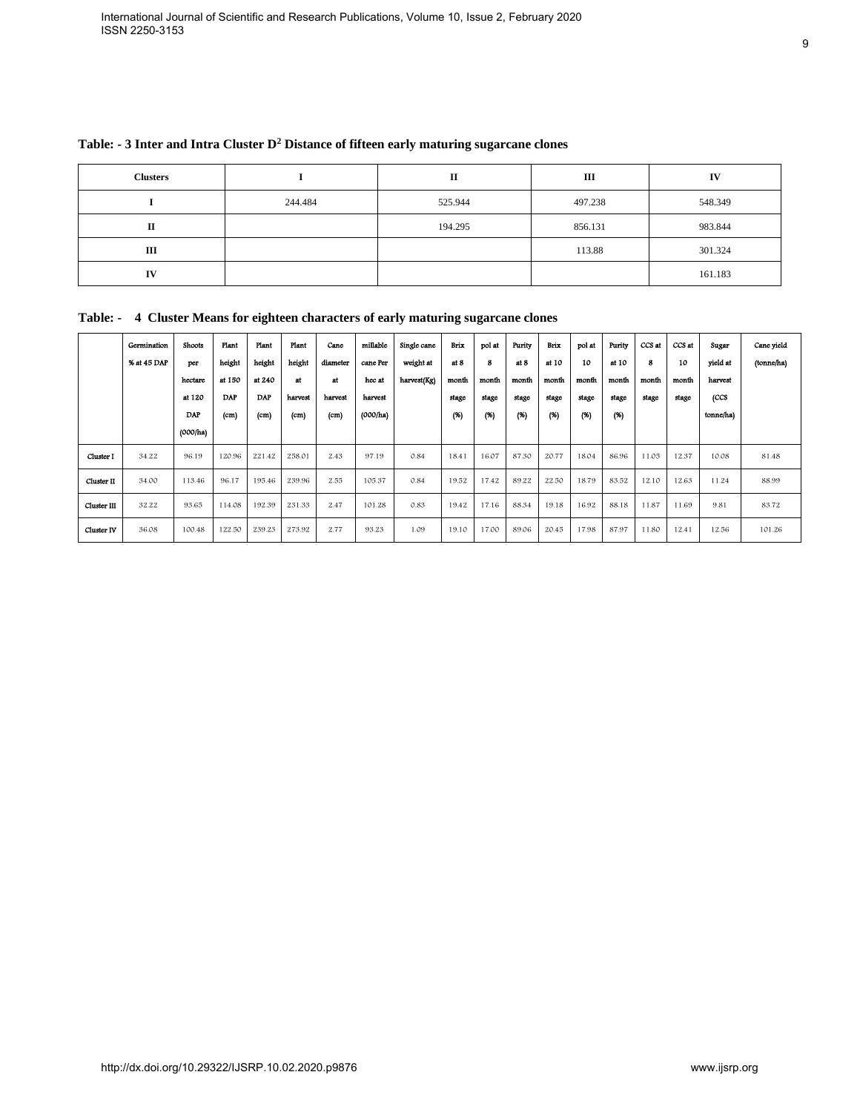| <b>Clusters</b> |         |         | Ш       | IV      |
|-----------------|---------|---------|---------|---------|
|                 | 244.484 | 525.944 | 497.238 | 548.349 |
| п               |         | 194.295 | 856.131 | 983.844 |
| Ш               |         |         | 113.88  | 301.324 |
| IV              |         |         |         | 161.183 |

#### **Table: - 3 Inter and Intra Cluster D<sup>2</sup> Distance of fifteen early maturing sugarcane clones**

**Table: - 4 Cluster Means for eighteen characters of early maturing sugarcane clones**

| 4 Cluster Means for eighteen characters of early maturing sugarcane clones<br>Plant<br>Plant<br>height<br>height<br>at 150<br>at 240<br><b>DAP</b><br>$\mathbf{DAP}$<br>(cm)<br>(cm)<br>120.96<br>221.42<br>96.17<br>195.46<br>114.08<br>192.39<br>122.50<br>239.23 | 244.484<br>Plant<br>Cano<br>height<br>diameter<br>$\operatorname{\sf att}$<br>at<br>harvest<br>harvest<br>(cm)<br>(cm)<br>258.01<br>2.43<br>239.96<br>2.55 | millable<br>cane Per<br>hoc at<br>harvest<br>(000/ha)<br>97.19 | Single cane<br>weight at<br>harvest(Kg) | 525.944<br>194.295<br>Brix<br>at 8<br>month<br>stage<br>(%) | pol at<br>8<br>month<br>stage | Purity<br>at 8<br>month<br>stage | Brix<br>at 10<br>month | 497.238<br>856.131<br>113.88<br>pol at<br>10<br>month | Purity<br>at 10 | CCS at<br>8 | CCS at<br>10 | 548.349<br>983.844<br>301.324<br>161.183<br>Sugar<br>yield at | Cane yield<br>(tonne/ha) |
|---------------------------------------------------------------------------------------------------------------------------------------------------------------------------------------------------------------------------------------------------------------------|------------------------------------------------------------------------------------------------------------------------------------------------------------|----------------------------------------------------------------|-----------------------------------------|-------------------------------------------------------------|-------------------------------|----------------------------------|------------------------|-------------------------------------------------------|-----------------|-------------|--------------|---------------------------------------------------------------|--------------------------|
|                                                                                                                                                                                                                                                                     |                                                                                                                                                            |                                                                |                                         |                                                             |                               |                                  |                        |                                                       |                 |             |              |                                                               |                          |
|                                                                                                                                                                                                                                                                     |                                                                                                                                                            |                                                                |                                         |                                                             |                               |                                  |                        |                                                       |                 |             |              |                                                               |                          |
|                                                                                                                                                                                                                                                                     |                                                                                                                                                            |                                                                |                                         |                                                             |                               |                                  |                        |                                                       |                 |             |              |                                                               |                          |
|                                                                                                                                                                                                                                                                     |                                                                                                                                                            |                                                                |                                         |                                                             |                               |                                  |                        |                                                       |                 |             |              |                                                               |                          |
|                                                                                                                                                                                                                                                                     |                                                                                                                                                            |                                                                |                                         |                                                             |                               |                                  |                        |                                                       |                 |             |              |                                                               |                          |
|                                                                                                                                                                                                                                                                     |                                                                                                                                                            |                                                                |                                         |                                                             |                               |                                  |                        |                                                       |                 |             |              |                                                               |                          |
|                                                                                                                                                                                                                                                                     |                                                                                                                                                            |                                                                |                                         |                                                             |                               |                                  |                        |                                                       |                 |             |              |                                                               |                          |
|                                                                                                                                                                                                                                                                     |                                                                                                                                                            |                                                                |                                         |                                                             |                               |                                  |                        |                                                       | month           | month       | month        | harvest                                                       |                          |
|                                                                                                                                                                                                                                                                     |                                                                                                                                                            |                                                                |                                         |                                                             |                               |                                  | stage                  | stage                                                 | stage           | stage       | stage        | (CCS                                                          |                          |
|                                                                                                                                                                                                                                                                     |                                                                                                                                                            |                                                                |                                         |                                                             | (%)                           | (96)                             | (96)                   | (96)                                                  | (X)             |             |              | tonne/ha)                                                     |                          |
|                                                                                                                                                                                                                                                                     |                                                                                                                                                            |                                                                | 0.84                                    | 18.41                                                       | 16.07                         | 87.30                            | 20.77                  | 18.04                                                 | 86.96           | 11.05       | 12.37        | 10.08                                                         | 81.48                    |
|                                                                                                                                                                                                                                                                     |                                                                                                                                                            | 105.37                                                         | 0.84                                    | 19.52                                                       | 17.42                         | 89.22                            | 22.50                  | 18.79                                                 | 83.52           | 12.10       | 12.63        | 11.24                                                         | 88.99                    |
|                                                                                                                                                                                                                                                                     | 231.33<br>2.47                                                                                                                                             | 101.28                                                         | 0.83                                    | 19.42                                                       | 17.16                         | 88.34                            | 19.18                  | 16.92                                                 | 88.18           | 11.87       | 11.69        | 9.81                                                          | 83.72                    |
|                                                                                                                                                                                                                                                                     | 273.92<br>2.77                                                                                                                                             | 93.23                                                          | 1.09                                    | 19.10                                                       | 17.00                         | 89.06                            | 20.45                  | 17.98                                                 | 87.97           | 11.80       | 12.41        | 12.56                                                         | 101.26                   |
|                                                                                                                                                                                                                                                                     |                                                                                                                                                            |                                                                |                                         |                                                             |                               |                                  |                        |                                                       |                 |             |              |                                                               |                          |
|                                                                                                                                                                                                                                                                     |                                                                                                                                                            |                                                                |                                         |                                                             |                               |                                  |                        |                                                       |                 |             |              |                                                               |                          |
|                                                                                                                                                                                                                                                                     |                                                                                                                                                            |                                                                |                                         |                                                             |                               |                                  |                        |                                                       |                 |             |              |                                                               |                          |
|                                                                                                                                                                                                                                                                     |                                                                                                                                                            |                                                                |                                         |                                                             |                               |                                  |                        |                                                       |                 |             |              |                                                               |                          |
|                                                                                                                                                                                                                                                                     |                                                                                                                                                            |                                                                |                                         |                                                             |                               |                                  |                        |                                                       |                 |             |              |                                                               |                          |
|                                                                                                                                                                                                                                                                     |                                                                                                                                                            |                                                                |                                         |                                                             |                               |                                  |                        |                                                       |                 |             |              |                                                               |                          |
|                                                                                                                                                                                                                                                                     |                                                                                                                                                            |                                                                |                                         |                                                             |                               |                                  |                        |                                                       |                 |             |              |                                                               |                          |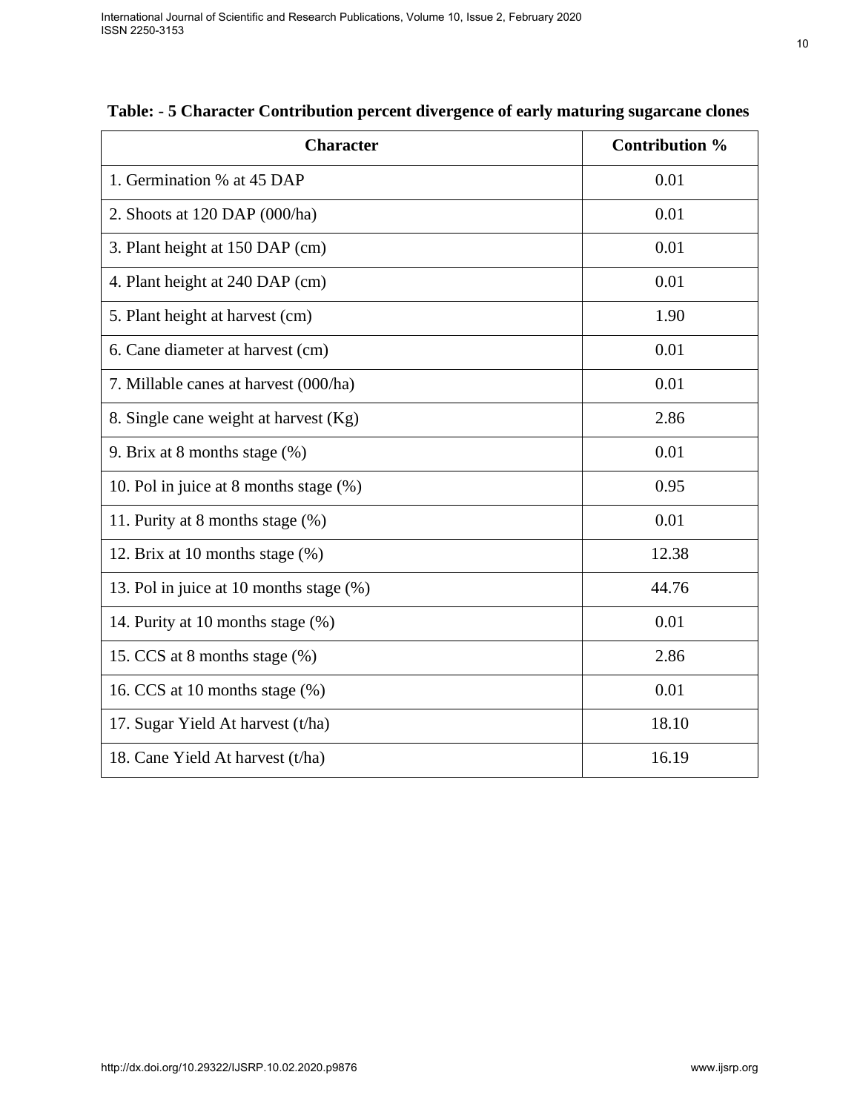| <b>Character</b>                        | Contribution % |
|-----------------------------------------|----------------|
| 1. Germination % at 45 DAP              | 0.01           |
| 2. Shoots at $120$ DAP $(000/ha)$       | 0.01           |
| 3. Plant height at 150 DAP (cm)         | 0.01           |
| 4. Plant height at 240 DAP (cm)         | 0.01           |
| 5. Plant height at harvest (cm)         | 1.90           |
| 6. Cane diameter at harvest (cm)        | 0.01           |
| 7. Millable canes at harvest (000/ha)   | 0.01           |
| 8. Single cane weight at harvest (Kg)   | 2.86           |
| 9. Brix at 8 months stage $(\%)$        | 0.01           |
| 10. Pol in juice at 8 months stage (%)  | 0.95           |
| 11. Purity at 8 months stage (%)        | 0.01           |
| 12. Brix at 10 months stage (%)         | 12.38          |
| 13. Pol in juice at 10 months stage (%) | 44.76          |
| 14. Purity at 10 months stage (%)       | 0.01           |
| 15. CCS at 8 months stage (%)           | 2.86           |
| 16. CCS at 10 months stage $(\%)$       | 0.01           |
| 17. Sugar Yield At harvest (t/ha)       | 18.10          |
| 18. Cane Yield At harvest (t/ha)        | 16.19          |

|  |  |  | Table: - 5 Character Contribution percent divergence of early maturing sugarcane clones |
|--|--|--|-----------------------------------------------------------------------------------------|
|  |  |  |                                                                                         |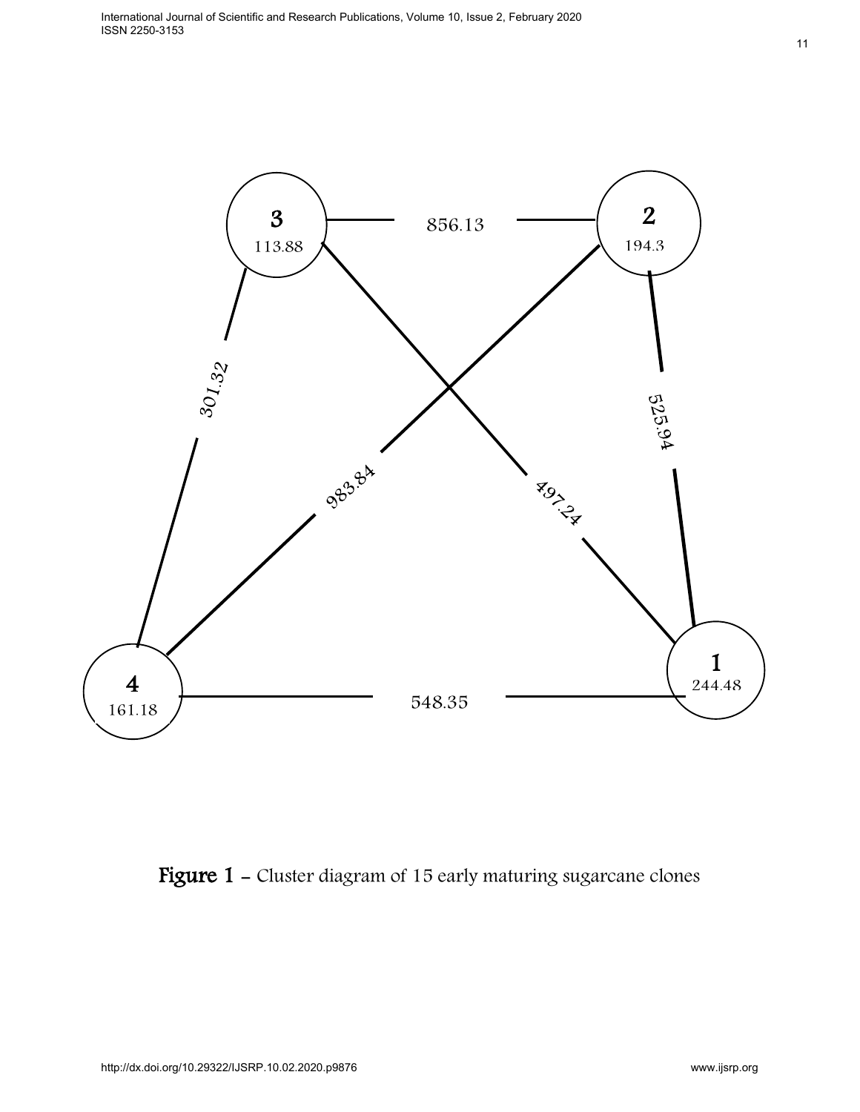

Figure 1 - Cluster diagram of 15 early maturing sugarcane clones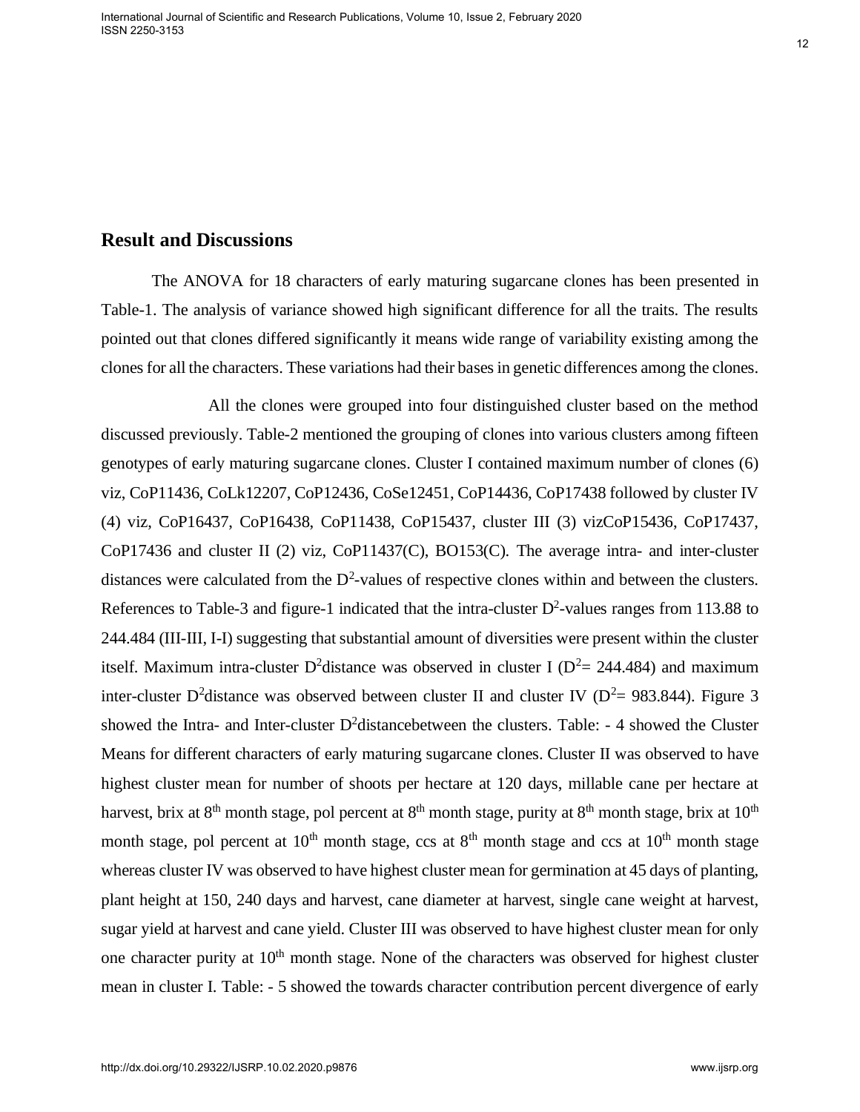## **Result and Discussions**

The ANOVA for 18 characters of early maturing sugarcane clones has been presented in Table-1. The analysis of variance showed high significant difference for all the traits. The results pointed out that clones differed significantly it means wide range of variability existing among the clones for all the characters. These variations had their bases in genetic differences among the clones.

 All the clones were grouped into four distinguished cluster based on the method discussed previously. Table-2 mentioned the grouping of clones into various clusters among fifteen genotypes of early maturing sugarcane clones. Cluster I contained maximum number of clones (6) viz, CoP11436, CoLk12207, CoP12436, CoSe12451, CoP14436, CoP17438 followed by cluster IV (4) viz, CoP16437, CoP16438, CoP11438, CoP15437, cluster III (3) vizCoP15436, CoP17437, CoP17436 and cluster II (2) viz, CoP11437(C), BO153(C). The average intra- and inter-cluster distances were calculated from the  $D^2$ -values of respective clones within and between the clusters. References to Table-3 and figure-1 indicated that the intra-cluster  $D^2$ -values ranges from 113.88 to 244.484 (III-III, I-I) suggesting that substantial amount of diversities were present within the cluster itself. Maximum intra-cluster D<sup>2</sup>distance was observed in cluster I ( $D^2 = 244.484$ ) and maximum inter-cluster D<sup>2</sup>distance was observed between cluster II and cluster IV ( $D^2 = 983.844$ ). Figure 3 showed the Intra- and Inter-cluster  $D^2$ distancebetween the clusters. Table: - 4 showed the Cluster Means for different characters of early maturing sugarcane clones. Cluster II was observed to have highest cluster mean for number of shoots per hectare at 120 days, millable cane per hectare at harvest, brix at  $8<sup>th</sup>$  month stage, pol percent at  $8<sup>th</sup>$  month stage, purity at  $8<sup>th</sup>$  month stage, brix at  $10<sup>th</sup>$ month stage, pol percent at  $10<sup>th</sup>$  month stage, ccs at  $8<sup>th</sup>$  month stage and ccs at  $10<sup>th</sup>$  month stage whereas cluster IV was observed to have highest cluster mean for germination at 45 days of planting, plant height at 150, 240 days and harvest, cane diameter at harvest, single cane weight at harvest, sugar yield at harvest and cane yield. Cluster III was observed to have highest cluster mean for only one character purity at 10<sup>th</sup> month stage. None of the characters was observed for highest cluster mean in cluster I. Table: - 5 showed the towards character contribution percent divergence of early **Result and Discussions**<br>The ANOVA for 18 chancetes of early munting sugarcane clones has been presented in<br>Table-1. The analysis of variance showed high significant difference for all the traits. The meslik<br>Table-1. The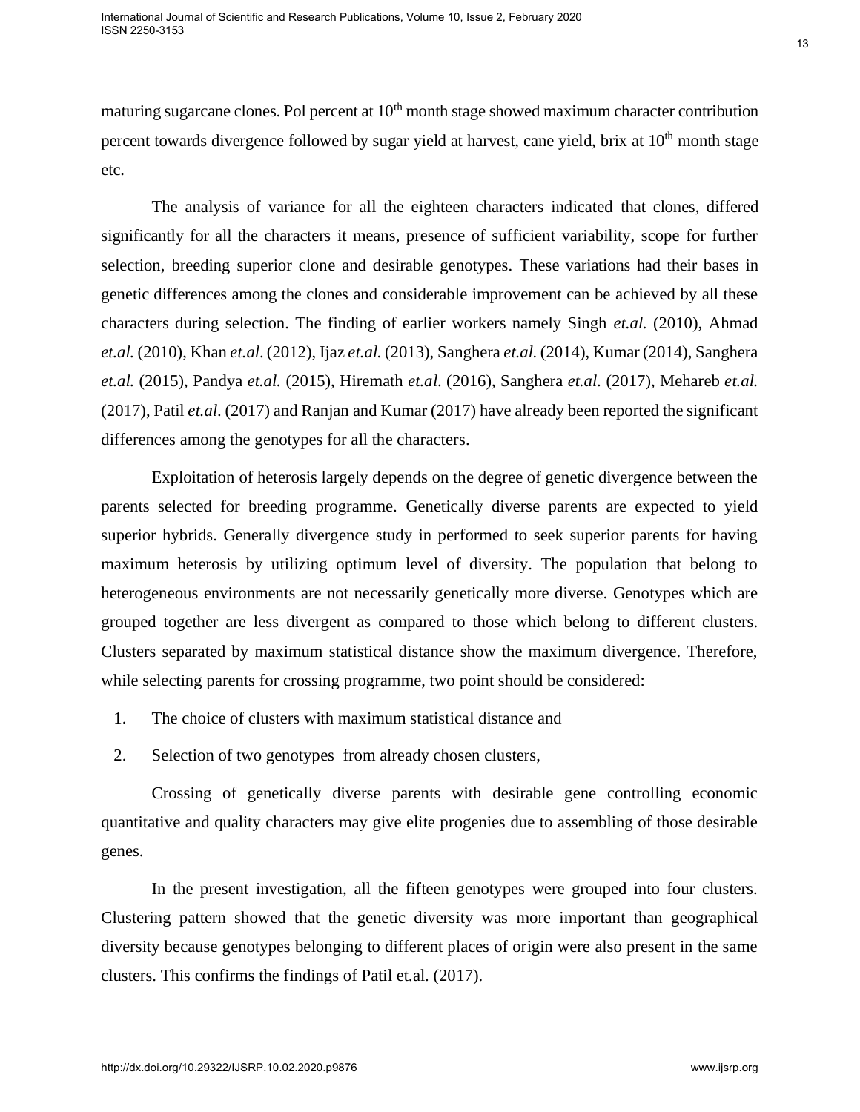maturing sugarcane clones. Pol percent at  $10<sup>th</sup>$  month stage showed maximum character contribution percent towards divergence followed by sugar yield at harvest, cane yield, brix at  $10<sup>th</sup>$  month stage etc.

The analysis of variance for all the eighteen characters indicated that clones, differed significantly for all the characters it means, presence of sufficient variability, scope for further selection, breeding superior clone and desirable genotypes. These variations had their bases in genetic differences among the clones and considerable improvement can be achieved by all these characters during selection. The finding of earlier workers namely Singh *et.al.* (2010), Ahmad *et.al.* (2010), Khan *et.al*. (2012), Ijaz *et.al.* (2013), Sanghera *et.al.* (2014), Kumar (2014), Sanghera *et.al.* (2015), Pandya *et.al.* (2015), Hiremath *et.al*. (2016), Sanghera *et.al*. (2017), Mehareb *et.al.* (2017), Patil *et.al*. (2017) and Ranjan and Kumar (2017) have already been reported the significant differences among the genotypes for all the characters. maturing sugarcane chores. Pol percent at 10<sup>6</sup> mosth stage slowed maximum characte currichistin percent towards divergence followed by sugar yield at harvest, cans yield, brix at 10<sup>4</sup> month stage<br>
(The analysis of varia

Exploitation of heterosis largely depends on the degree of genetic divergence between the parents selected for breeding programme. Genetically diverse parents are expected to yield superior hybrids. Generally divergence study in performed to seek superior parents for having maximum heterosis by utilizing optimum level of diversity. The population that belong to heterogeneous environments are not necessarily genetically more diverse. Genotypes which are grouped together are less divergent as compared to those which belong to different clusters. Clusters separated by maximum statistical distance show the maximum divergence. Therefore, while selecting parents for crossing programme, two point should be considered:

- 1. The choice of clusters with maximum statistical distance and
- 2. Selection of two genotypes from already chosen clusters,

Crossing of genetically diverse parents with desirable gene controlling economic quantitative and quality characters may give elite progenies due to assembling of those desirable genes.

In the present investigation, all the fifteen genotypes were grouped into four clusters. Clustering pattern showed that the genetic diversity was more important than geographical diversity because genotypes belonging to different places of origin were also present in the same clusters. This confirms the findings of Patil et.al. (2017).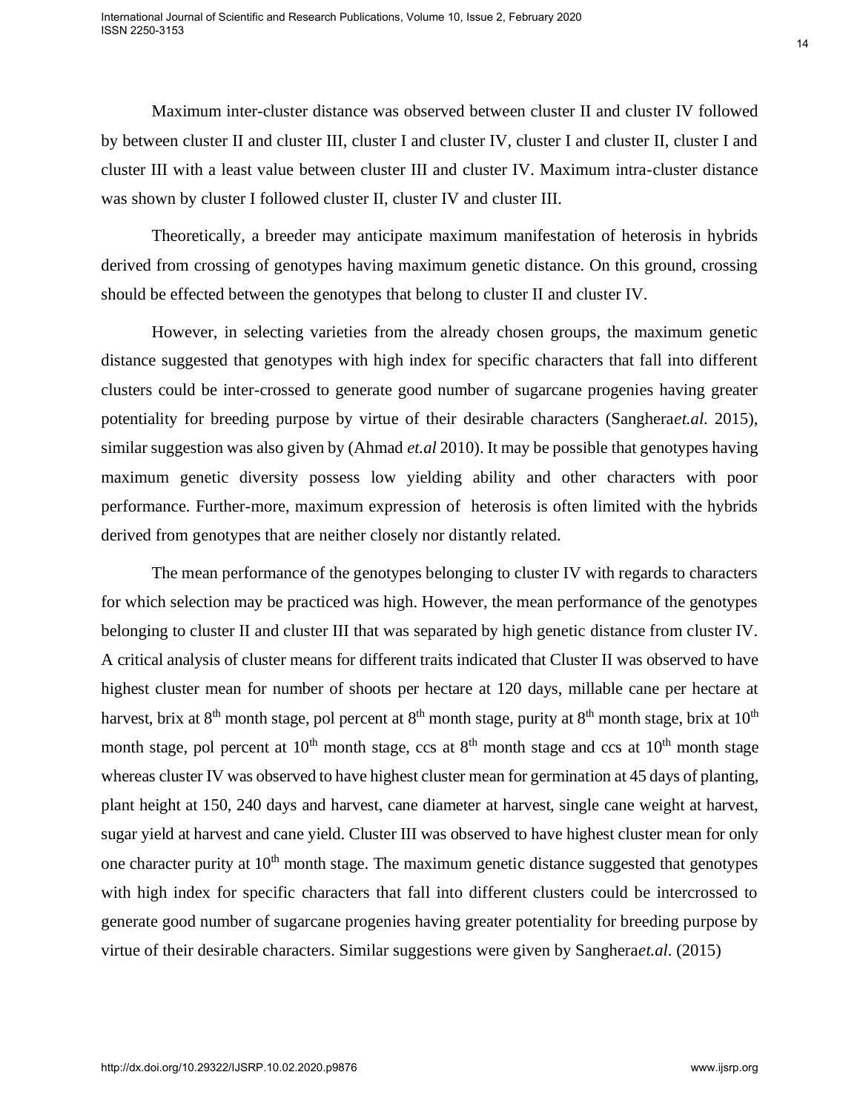Maximum inter-cluster distance was observed between cluster II and cluster IV followed by between cluster II and cluster III, cluster I and cluster IV, cluster I and cluster II, cluster I and cluster III with a least value between cluster III and cluster IV. Maximum intra-cluster distance was shown by cluster I followed cluster II, cluster IV and cluster III.

Theoretically, a breeder may anticipate maximum manifestation of heterosis in hybrids derived from crossing of genotypes having maximum genetic distance. On this ground, crossing should be effected between the genotypes that belong to cluster II and cluster IV.

However, in selecting varieties from the already chosen groups, the maximum genetic distance suggested that genotypes with high index for specific characters that fall into different clusters could be inter-crossed to generate good number of sugarcane progenies having greater potentiality for breeding purpose by virtue of their desirable characters (Sanghera*et.al*. 2015), similar suggestion was also given by (Ahmad *et.al* 2010). It may be possible that genotypes having maximum genetic diversity possess low yielding ability and other characters with poor performance. Further-more, maximum expression of heterosis is often limited with the hybrids derived from genotypes that are neither closely nor distantly related.

The mean performance of the genotypes belonging to cluster IV with regards to characters for which selection may be practiced was high. However, the mean performance of the genotypes belonging to cluster II and cluster III that was separated by high genetic distance from cluster IV. A critical analysis of cluster means for different traits indicated that Cluster II was observed to have highest cluster mean for number of shoots per hectare at 120 days, millable cane per hectare at harvest, brix at  $8<sup>th</sup>$  month stage, pol percent at  $8<sup>th</sup>$  month stage, purity at  $8<sup>th</sup>$  month stage, brix at  $10<sup>th</sup>$ month stage, pol percent at  $10<sup>th</sup>$  month stage, ccs at  $8<sup>th</sup>$  month stage and ccs at  $10<sup>th</sup>$  month stage whereas cluster IV was observed to have highest cluster mean for germination at 45 days of planting, plant height at 150, 240 days and harvest, cane diameter at harvest, single cane weight at harvest, sugar yield at harvest and cane yield. Cluster III was observed to have highest cluster mean for only one character purity at  $10<sup>th</sup>$  month stage. The maximum genetic distance suggested that genotypes with high index for specific characters that fall into different clusters could be intercrossed to generate good number of sugarcane progenies having greater potentiality for breeding purpose by virtue of their desirable characters. Similar suggestions were given by Sanghera*et.al*. (2015) **EVALUATION**<br> **MEXAMURING THE CONSTRANS WAS Observed between cluster II and cluster IV followed cluster III and cluster III. cluster III and cluster III. cluster II and cluster III. cluster II and cluster III. cluster II**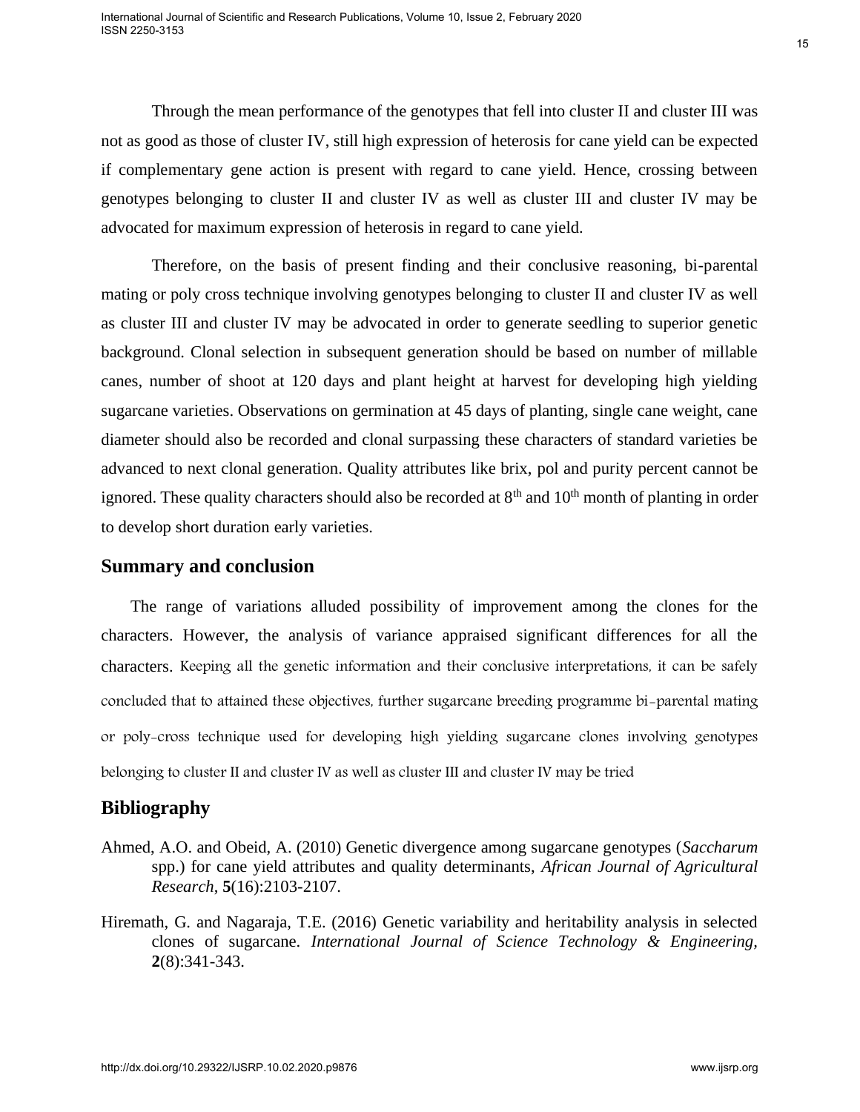Through the mean performance of the genotypes that fell into cluster II and cluster III was not as good as those of cluster IV, still high expression of heterosis for cane yield can be expected if complementary gene action is present with regard to cane yield. Hence, crossing between genotypes belonging to cluster II and cluster IV as well as cluster III and cluster IV may be advocated for maximum expression of heterosis in regard to cane yield.

Therefore, on the basis of present finding and their conclusive reasoning, bi-parental mating or poly cross technique involving genotypes belonging to cluster II and cluster IV as well as cluster III and cluster IV may be advocated in order to generate seedling to superior genetic background. Clonal selection in subsequent generation should be based on number of millable canes, number of shoot at 120 days and plant height at harvest for developing high yielding sugarcane varieties. Observations on germination at 45 days of planting, single cane weight, cane diameter should also be recorded and clonal surpassing these characters of standard varieties be advanced to next clonal generation. Quality attributes like brix, pol and purity percent cannot be ignored. These quality characters should also be recorded at  $8<sup>th</sup>$  and  $10<sup>th</sup>$  month of planting in order to develop short duration early varieties. Through the mean performance of the genutypes that felt into divide TT and choser IT was<br>not also good as doos of closter 17, still high expression of between the conserved policieal expected<br>of complementary gene section

## **Summary and conclusion**

 The range of variations alluded possibility of improvement among the clones for the characters. However, the analysis of variance appraised significant differences for all the characters. Keeping all the genetic information and their conclusive interpretations, it can be safely concluded that to attained these objectives, further sugarcane breeding programme bi-parental mating or poly-cross technique used for developing high yielding sugarcane clones involving genotypes belonging to cluster II and cluster IV as well as cluster III and cluster IV may be tried

## **Bibliography**

- Ahmed, A.O. and Obeid, A. (2010) Genetic divergence among sugarcane genotypes (*Saccharum* spp.) for cane yield attributes and quality determinants, *African Journal of Agricultural Research*, **5**(16):2103-2107.
- Hiremath, G. and Nagaraja, T.E. (2016) Genetic variability and heritability analysis in selected clones of sugarcane. *International Journal of Science Technology & Engineering,*  **2**(8):341-343.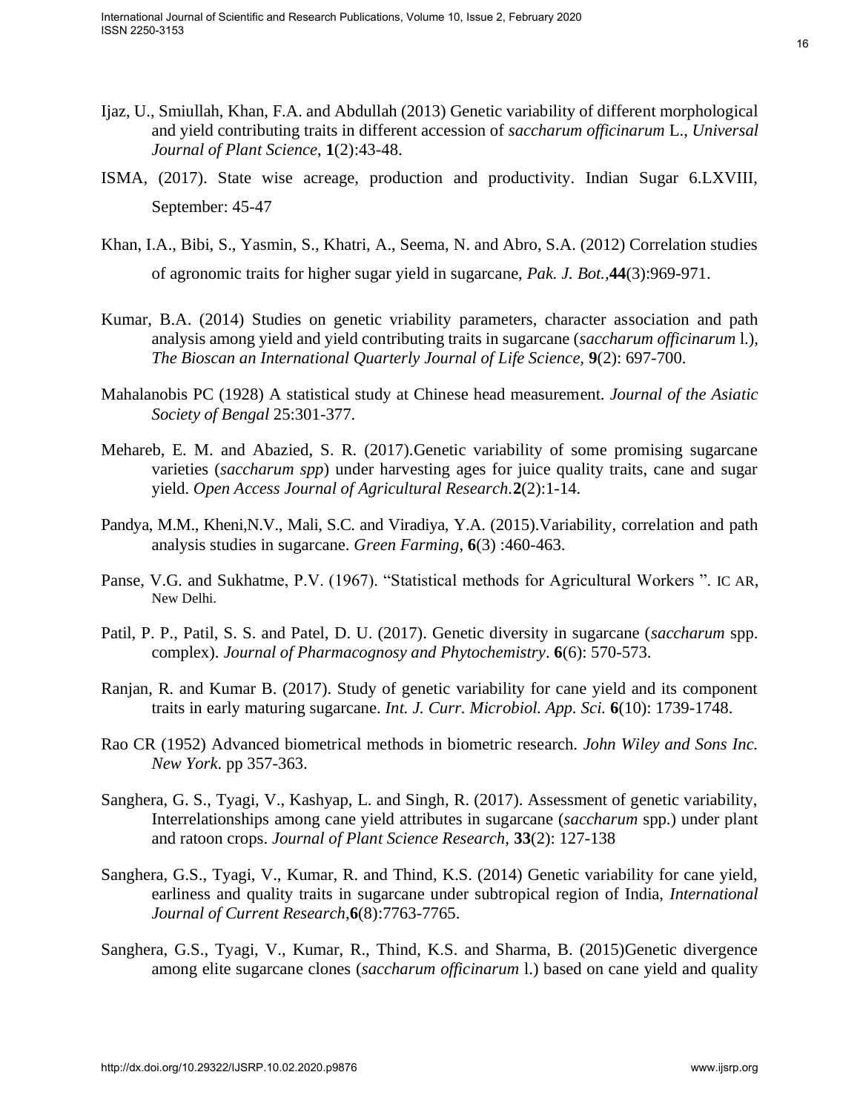- Ijaz, U., Smiullah, Khan, F.A. and Abdullah (2013) Genetic variability of different morphological and yield contributing traits in different accession of *saccharum officinarum* L., *Universal Journal of Plant Science*, **1**(2):43-48.
- ISMA, (2017). State wise acreage, production and productivity. Indian Sugar 6.LXVIII, September: 45-47
- Khan, I.A., Bibi, S., Yasmin, S., Khatri, A., Seema, N. and Abro, S.A. (2012) Correlation studies of agronomic traits for higher sugar yield in sugarcane, *Pak. J. Bot.,***44**(3):969-971.
- Kumar, B.A. (2014) Studies on genetic vriability parameters, character association and path analysis among yield and yield contributing traits in sugarcane (*saccharum officinarum* l.), *The Bioscan an International Quarterly Journal of Life Science,* **9**(2): 697-700.
- Mahalanobis PC (1928) A statistical study at Chinese head measurement. *Journal of the Asiatic Society of Bengal* 25:301-377.
- Mehareb, E. M. and Abazied, S. R. (2017).Genetic variability of some promising sugarcane varieties (*saccharum spp*) under harvesting ages for juice quality traits, cane and sugar yield. *Open Access Journal of Agricultural Research.***2**(2):1-14.
- Pandya, M.M., Kheni,N.V., Mali, S.C. and Viradiya, Y.A. (2015).Variability, correlation and path analysis studies in sugarcane. *Green Farming*, **6**(3) :460-463.
- Panse, V.G. and Sukhatme, P.V. (1967). "Statistical methods for Agricultural Workers ". IC AR, New Delhi.
- Patil, P. P., Patil, S. S. and Patel, D. U. (2017). Genetic diversity in sugarcane (*saccharum* spp. complex). *Journal of Pharmacognosy and Phytochemistry*. **6**(6): 570-573.
- Ranjan, R. and Kumar B. (2017). Study of genetic variability for cane yield and its component traits in early maturing sugarcane. *Int. J. Curr. Microbiol. App. Sci.* **6**(10): 1739-1748.
- Rao CR (1952) Advanced biometrical methods in biometric research. *John Wiley and Sons Inc. New York*. pp 357-363.
- Sanghera, G. S., Tyagi, V., Kashyap, L. and Singh, R. (2017). Assessment of genetic variability, Interrelationships among cane yield attributes in sugarcane (*saccharum* spp.) under plant and ratoon crops. *Journal of Plant Science Research,* **33**(2): 127-138
- Sanghera, G.S., Tyagi, V., Kumar, R. and Thind, K.S. (2014) Genetic variability for cane yield, earliness and quality traits in sugarcane under subtropical region of India, *International Journal of Current Research*,**6**(8):7763-7765. 19.<br>
Hgs. (1., Simidlah (Man, F.A. and Abdullah (2013) Genetic variability of different morphological<br>
and yield continuing prats in different accession of soccharaos of<br>
Herein Area of the action and productivity. Indian
- Sanghera, G.S., Tyagi, V., Kumar, R., Thind, K.S. and Sharma, B. (2015)Genetic divergence among elite sugarcane clones (*saccharum officinarum* l.) based on cane yield and quality